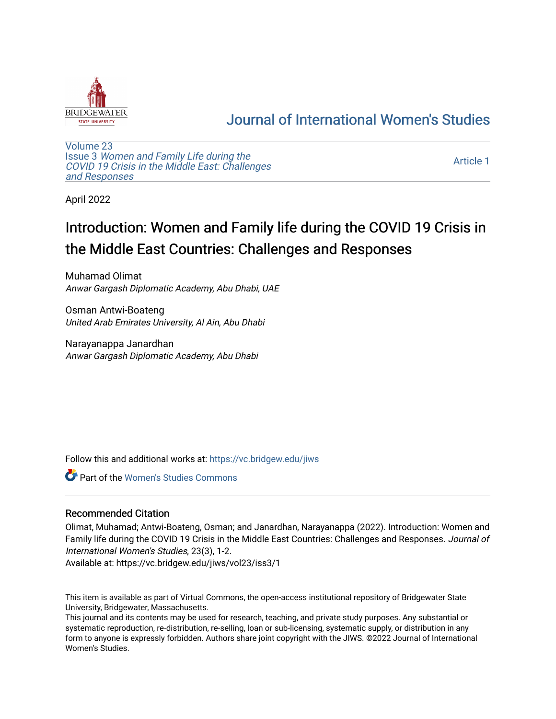

## [Journal of International Women's Studies](https://vc.bridgew.edu/jiws)

[Volume 23](https://vc.bridgew.edu/jiws/vol23) Issue 3 [Women and Family Life during the](https://vc.bridgew.edu/jiws/vol23/iss3)  [COVID 19 Crisis in the Middle East: Challenges](https://vc.bridgew.edu/jiws/vol23/iss3) [and Responses](https://vc.bridgew.edu/jiws/vol23/iss3) 

[Article 1](https://vc.bridgew.edu/jiws/vol23/iss3/1) 

April 2022

## Introduction: Women and Family life during the COVID 19 Crisis in the Middle East Countries: Challenges and Responses

Muhamad Olimat Anwar Gargash Diplomatic Academy, Abu Dhabi, UAE

Osman Antwi-Boateng United Arab Emirates University, Al Ain, Abu Dhabi

Narayanappa Janardhan Anwar Gargash Diplomatic Academy, Abu Dhabi

Follow this and additional works at: [https://vc.bridgew.edu/jiws](https://vc.bridgew.edu/jiws?utm_source=vc.bridgew.edu%2Fjiws%2Fvol23%2Fiss3%2F1&utm_medium=PDF&utm_campaign=PDFCoverPages)

**C** Part of the Women's Studies Commons

## Recommended Citation

Olimat, Muhamad; Antwi-Boateng, Osman; and Janardhan, Narayanappa (2022). Introduction: Women and Family life during the COVID 19 Crisis in the Middle East Countries: Challenges and Responses. Journal of International Women's Studies, 23(3), 1-2.

Available at: https://vc.bridgew.edu/jiws/vol23/iss3/1

This item is available as part of Virtual Commons, the open-access institutional repository of Bridgewater State University, Bridgewater, Massachusetts.

This journal and its contents may be used for research, teaching, and private study purposes. Any substantial or systematic reproduction, re-distribution, re-selling, loan or sub-licensing, systematic supply, or distribution in any form to anyone is expressly forbidden. Authors share joint copyright with the JIWS. ©2022 Journal of International Women's Studies.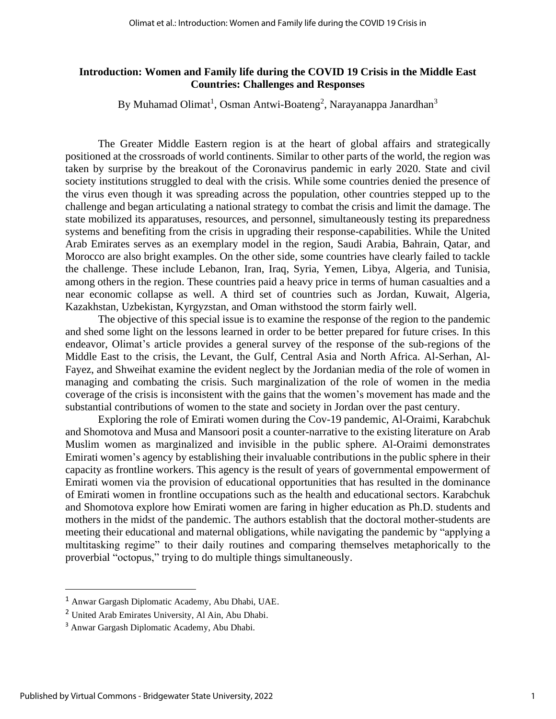## **Introduction: Women and Family life during the COVID 19 Crisis in the Middle East Countries: Challenges and Responses**

By Muhamad Olimat<sup>1</sup>, Osman Antwi-Boateng<sup>2</sup>, Narayanappa Janardhan<sup>3</sup>

The Greater Middle Eastern region is at the heart of global affairs and strategically positioned at the crossroads of world continents. Similar to other parts of the world, the region was taken by surprise by the breakout of the Coronavirus pandemic in early 2020. State and civil society institutions struggled to deal with the crisis. While some countries denied the presence of the virus even though it was spreading across the population, other countries stepped up to the challenge and began articulating a national strategy to combat the crisis and limit the damage. The state mobilized its apparatuses, resources, and personnel, simultaneously testing its preparedness systems and benefiting from the crisis in upgrading their response-capabilities. While the United Arab Emirates serves as an exemplary model in the region, Saudi Arabia, Bahrain, Qatar, and Morocco are also bright examples. On the other side, some countries have clearly failed to tackle the challenge. These include Lebanon, Iran, Iraq, Syria, Yemen, Libya, Algeria, and Tunisia, among others in the region. These countries paid a heavy price in terms of human casualties and a near economic collapse as well. A third set of countries such as Jordan, Kuwait, Algeria, Kazakhstan, Uzbekistan, Kyrgyzstan, and Oman withstood the storm fairly well.

The objective of this special issue is to examine the response of the region to the pandemic and shed some light on the lessons learned in order to be better prepared for future crises. In this endeavor, Olimat's article provides a general survey of the response of the sub-regions of the Middle East to the crisis, the Levant, the Gulf, Central Asia and North Africa. Al-Serhan, Al-Fayez, and Shweihat examine the evident neglect by the Jordanian media of the role of women in managing and combating the crisis. Such marginalization of the role of women in the media coverage of the crisis is inconsistent with the gains that the women's movement has made and the substantial contributions of women to the state and society in Jordan over the past century.

Exploring the role of Emirati women during the Cov-19 pandemic, Al-Oraimi, Karabchuk and Shomotova and Musa and Mansoori posit a counter-narrative to the existing literature on Arab Muslim women as marginalized and invisible in the public sphere. Al-Oraimi demonstrates Emirati women's agency by establishing their invaluable contributions in the public sphere in their capacity as frontline workers. This agency is the result of years of governmental empowerment of Emirati women via the provision of educational opportunities that has resulted in the dominance of Emirati women in frontline occupations such as the health and educational sectors. Karabchuk and Shomotova explore how Emirati women are faring in higher education as Ph.D. students and mothers in the midst of the pandemic. The authors establish that the doctoral mother-students are meeting their educational and maternal obligations, while navigating the pandemic by "applying a multitasking regime" to their daily routines and comparing themselves metaphorically to the proverbial "octopus," trying to do multiple things simultaneously.

<sup>1</sup> Anwar Gargash Diplomatic Academy, Abu Dhabi, UAE.

<sup>2</sup> United Arab Emirates University, Al Ain, Abu Dhabi.

<sup>3</sup> Anwar Gargash Diplomatic Academy, Abu Dhabi.